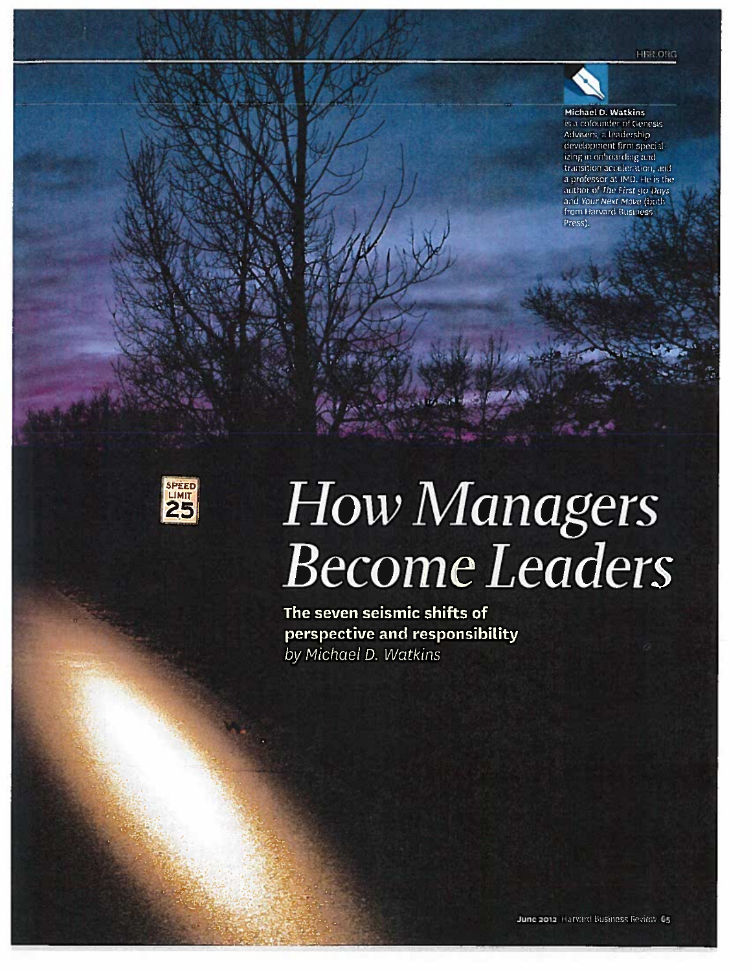Michael D. Watkins is a cofounder of Genesis Advisers, a leadership development firm specializing in ontioarding and transition acceleration, and a professor at IMD. He is the author of The First go Days and Your Next Move (both from Harvard Business Press).



# How Managers

The seven seismic shifts of perspective and responsibility by Michael D. Watkins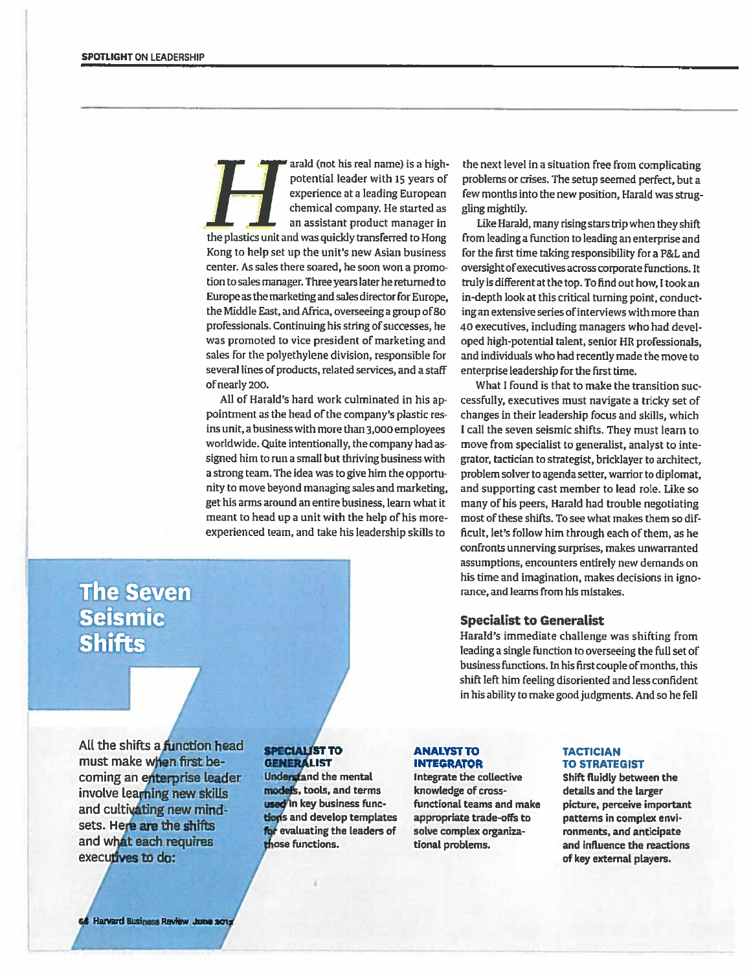Harald (not his real name) is <sup>a</sup> high- potential leader with <sup>15</sup> years of experience at <sup>a</sup> leading European chemical company. He started as an assistant product manager in the plastics unit and was quickly transferred to Hong Kong to help set up the unit's new Asian business center. As sales there soared, he soon won <sup>a</sup> promo tion to sales manager. Three years laterhe returned to Europe as the marketing and sales director for Europe, the Middle East, and Africa, overseeing <sup>a</sup> group of 80 professionals. Continuing his string of successes, he was promoted to vice president of marketing and sales for the polyethylene division, responsible for several lines of products, related services, and <sup>a</sup> staff of nearly 200.

All of Harald's hard work culminated in his ap pointment as the head of the company's plastic res ins unit, a business with more than 3,000 employees worldwide. Quite intentionally, the company had as signed him to run <sup>a</sup> small but thriving business with <sup>a</sup> strong team. The idea was to give him the opportu nity to move beyond managing sales and marketing, ge<sup>t</sup> his arms around an entire business, learn what it meant to head up <sup>a</sup> unit with the help of his moreexperienced team, and take his leadership skills to

# **The Seven Seismic Shifts**

All the shifts a function head must make when first be coming an enterprise leader involve learning new skills and cultivating new mind sets. Here are the shifts and whet each requires executives to do:

# SPECIALIST TO **GENERALIST**

 $\sim$ 

**Understand the mental** models, tools, and terms used in key business functions and develop templates for evaluating the leaders of those functions.

the next level in a situation free from complicating problems or crises. The setup seemed perfect, but <sup>a</sup> few months into the new position, Harald was strug gling mightily.

Like Harald, many rising stars trip when they shift from leading <sup>a</sup> function to leading an enterprise and for the first time taking responsibility for <sup>a</sup> P&L and oversight of executives across corporate functions. It truly is different at the top. To find out how, <sup>I</sup> took an in-depth look at this critical turning point, conduct ing an extensive series of interviews with more than <sup>40</sup> executives, including managers who had devel oped high-potential talent, senior HR professionals, and individuals who had recently made the move to enterprise leadership for the first time.

What I found is that to make the transition suc cessfully, executives must navigate <sup>a</sup> tricky set of changes in their leadership focus and skills, which <sup>I</sup> call the seven seismic shifts. They must learn to move from specialist to generalist, analyst to inte grator, tactician to strategist, bricklayer to architect, problem solver to agenda setter, warrior to diplomat, and supporting cast member to lead role. Like so many of his peers, Harald had trouble negotiating most of these shifts. To see what makes them so dif ficult, let's follow him through each of them, as he confronts unnerving surprises, makes unwarranted assumptions, encounters entirely new demands on his time and imagination, makes decisions in igno rance, and learns from his mistakes.

# Specialist to GeneraList

Harald's immediate challenge was shifting from leading <sup>a</sup> single function to overseeing the full set of business functions. In his first couple of months, this shift left him feeling disoriented and less confident in his ability to make good judgments. And so he fell

# ANALYST TO INTEGRATOR

Integrate the collective knowledge of crossfunctional teams and make appropriate trade-offs to solve complex organizational problems.

TACTICIAN TO STRATEGIST

Shift fluidly between the details and the Larger picture, perceive important patterns in complex envi ronments, and anticipate and influence the reactions of key externaL pLayers.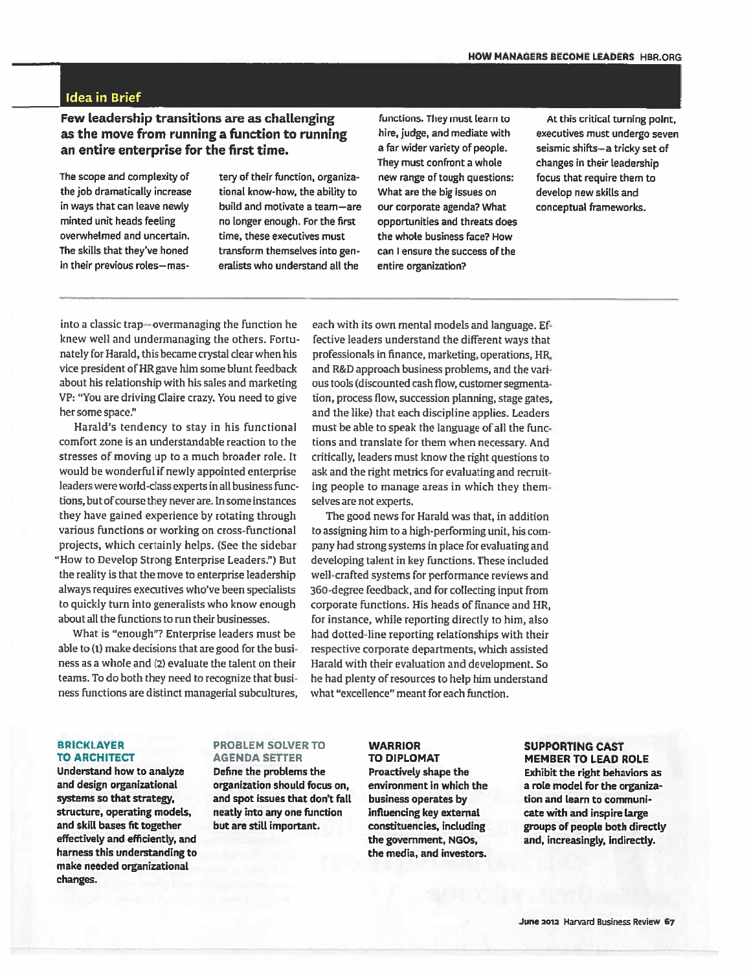# Few leadership transitions are as challenging as the move from running <sup>a</sup> function to running an entire enterprise for the first time.

The scope and complexity of the job dramatically increase in ways that can leave newly minted unit heads feeling overwhelmed and uncertain. The skills that they've honed in their previous roles—mas

tery of their function, organiza tional know-how, the ability to build and motivate <sup>a</sup> team—are no longer enough. For the first time, these executives must transform themselves into gen eralists who understand all the

functions. They must learn to hire, judge, and mediate with <sup>a</sup> far wider variety of people. They must confront <sup>a</sup> whole new range of tough questions: What are the big issues on our corporate agenda? What opportunities and threats does the whole business face? How can I ensure the success of the entire organization?

At this critical turning point, executives must undergo seven seismic shifts—a tricky set of changes in their leadership focus that require them to develop new skills and conceptual frameworks.

into <sup>a</sup> classic trap—overmanaging the function he knew well and undermanaging the others. Fortu nately for Harald, this became crystal clear when his vice president of HR gave him some blunt feedback about his relationship with his sales and marketing VP: "You are driving Claire crazy- You need to give her some space:'

Harald's tendency to stay in his functional comfort zone is an understandable reaction to the stresses of moving up to <sup>a</sup> much broader role. It would be wonderful if newly appointed enterprise leaders were world-class experts in all business func tions, but of course they never are. In some instances they have gained experience by rotating through various functions or working on cross-functional projects, which certainly helps. (See the sidebar "flow to Develop Strong Enterprise Leaders:') But the reality is that the move to enterprise leadership always requires executives who've been specialists to quickly turn into generalists who know enough about all the functions to run their businesses,

What is "enough"? Enterprise leaders must be able to (1) make decisions that are good for the busi ness as <sup>a</sup> whole and (2) evaluate the talent on their teams. To do both they need to recognize that busi ness functions are distinct managerial subcultures,

each with its own mental models and language. Ef fective leaders understand the different ways that professionals in finance, marketing, operations, HR, and R&D approach business problems, and the vari ous tools (discounted cash flow, customer segmenta tion, process flow, succession planning, stage gates, and the like) that each discipline applies. Leaders must be able to speak the language of all the func tions and translate for them when necessary. And critically, leaders must know the tight questions to ask and the tight metrics for evaluating and recruit ing people to manage areas in which they them selves are not experts.

The good news for Harald was that, in addition to assigning him to <sup>a</sup> high-performing unit, his com pany had strong systems in place for evaluating and developing talent in key functions. These included well-crafted systems for performance reviews and 360-degree feedback, and for collecting input from corporate functions. His heads of finance and HR, for instance, while reporting directly to him, also had dotted-line reporting relationships with their respective corporate departments, which assisted Harald with their evaluation and development. So he had plenty of resources to help him understand what "excellence" meant for each function.

# BRICKLAYER TO ARCHITECT

Understand how to analyze and design organizational systems so that strategy, structure, operating models, and skill bases fit together effectively and efficiently, and harness this understanding to make needed organizational changes.

# PROBLEM SOLVER TO AGENDA SETTER Define the problems the

organization should focus on, and spo<sup>t</sup> issues that don't fail neatly into any one function but are still important.

### WARRIOR TO DIPLOMAT

Proactively shape the environment in which the business operates by influencing key externaL constituencies, including the government, NGOs, the media, and investors,

# SUPPORTING CAST MEMBER TO LEAD ROLE

Exhibit the right behaviors as a role model for the organization and learn to communi cate with and inspire Large groups of people both directly and, increasingly, indirectly.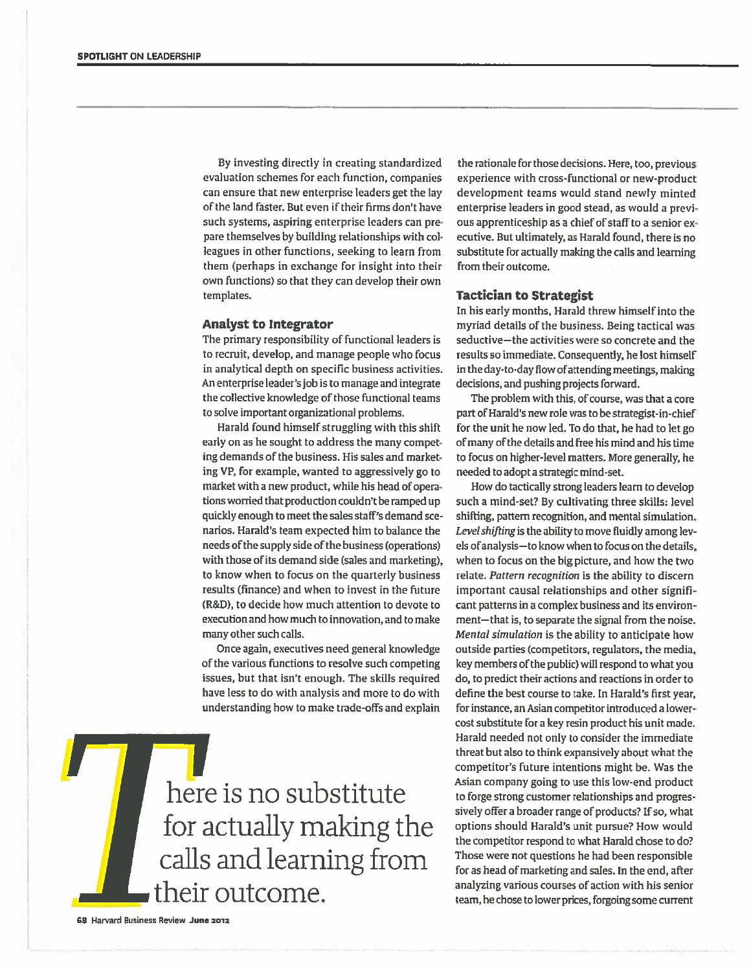By investing directly in creating standardized evaluation schemes for each function, companies can ensure that new enterprise leaders ge<sup>t</sup> the lay of the land faster. But even if their firms don't have such systems, aspiring enterprise leaders can pre pare themselves by building relationships with col leagues in other functions, seeking to learn from them (perhaps in exchange for insight into their own functions) so that they can develop their own templates.

# AnaLyst to Integrator

The primary responsibility of Functional leaders is to recruit, develop, and manage people who focus in analytical depth on specific business activities. An enterprise leader's job is to manage and integrate the collective knowledge of those functional teams to solve important organizational problems.

Harald found himself struggling with this shift early on as he sought to address the many compe<sup>t</sup> ing demands of the business. His sales and market ing VP, for example, wanted to aggressively go to market with <sup>a</sup> new product, while his head of opera tions worried that production couldn't be ramped up quickly enough to meet the sales staff's demand sce narios. Harald's team expected him to balance the needs of the supply side of the business (operations) with those of its demand side (sales and marketing), to know when to focus on the quarterly business results (finance) and when to invest in the future (R&D), to decide how much attention to devote to execution and how much to innovation, and to make many other such calls.

Once again, executives need general knowledge of the various functions to resolve such competing issues, but that isn't enough. The skills required have less to do with analysis and more to do with understanding how to make trade-offs and explain

here is no substitute for actually making the calls and learning from their outcome.  $\overline{\phantom{a}}$  -analyzing various courses of action with his senior team, he chose to lower prices, forgoing some current

the rationale for those decisions. Here, too, previous experience with cross-functional or new-product development teams would stand newly minted enterprise leaders in good stead, as would <sup>a</sup> previ ous apprenticeship as a chief of staff to a senior executive. But ultimately, as Harald found, there is no substitute for actually making the calls and learning from their outcome.

# Tactician to Strategist

In his early months, Harald threw himself into the myriad details of the business. Being tactical was seductive—the activities were so concrete and the results so immediate, Consequently, he lost himself in the day-to-day flow of attending meetings, making decisions, and pushing projects forward.

The problem with this, of course, was that <sup>a</sup> core par<sup>t</sup> of Harald's new role was to be strategist-in-chief for the unit he now led. To do that, he had to let go of many of the details and free his mind and his time to focus on higher-level matters. More generally, he needed to adopt <sup>a</sup> strategic mind-set.

How do tactically strong leaders learn to develop such <sup>a</sup> mind-set? By cultivating three skills: level shifting, pattern recognition, and mental simulation, Level shifting is the ability to move fluidly among levels ofanalysis—to know when to focus on the details, when to focus on the big picture, and how the two relate. Pattern recognition is the ability to discern important causal relationships and other signifi cant patterns in <sup>a</sup> complex business and its environ ment—that is, to separate the signal from the noise. Mental simulation is the ability to anticipate how outside parties (competitors, regulators, the media, key members of the public) will respond to what you do, to predict their actions and reactions in order to define the best course to take. In Harald's first year, for instance, an Asian competitor introduced <sup>a</sup> lowercost substitute for <sup>a</sup> key resin product his unit made. Harald needed not only to consider the immediate threat but also to think expansively about what the competitor's future intentions might be. Was the Asian company going to use this low-end product to forge strong customer relationships and progres sively offer <sup>a</sup> broader range of products? If so, what options should Harald's unit pursue? flow would the competitor respond to what Harald chose to do? Those were not questions he had been responsible for as head of marketing and sales. In the end, after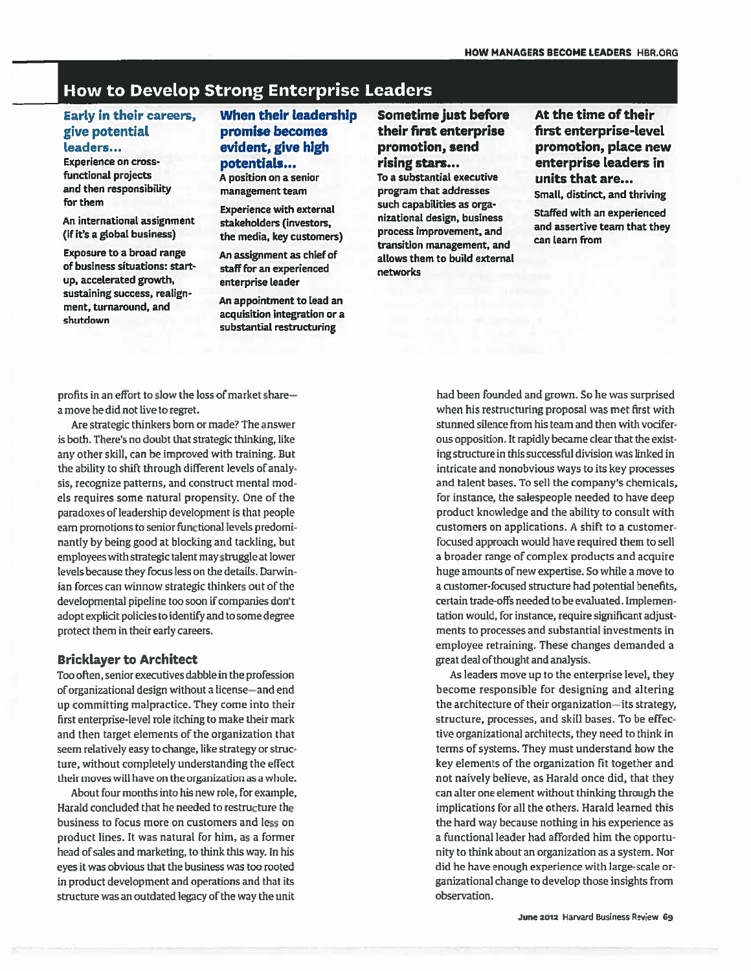# How to Develop Strong Enterprise Leaders

# Early in their careers, give potential Leaders...

# Experience on cross functionaL projects and then responsibility for them

An internationaL assignment (if it's a global business)

Exposure to <sup>a</sup> broad range of business situations: start up, acceLerated growth, sustaining success, realign ment, turnaround, and shutdown

# When their leadership promise becomes evident, give high potentials...

<sup>A</sup> position on <sup>a</sup> senior management team

Experience with externaL stakeholders (investors, the media, key customers)

An assignment as chief of staff for an experienced enterprise Leader

An appointment to lead an acquisition integration or <sup>a</sup> substantial restructuring

# Sometime just before their first enterprise promotion, send rising stars...

To a substantial executive program that addresses such capabilities as organizational design, business process improvement, and transition management, and allows them to build external networks

# At the time of their first enterprise-level promotion, place new enterprise Leaders in units that are...

Small, distinct, and thriving

Staffed with an experienced and assertive team that they can Learn from

profits in an effort to slow the loss of market share <sup>a</sup> move he did not live to regret.

Are strategic thinkers born or made? The answer is both. There's no doubt that strategic thinking, like any other skill, can be improved with training. But the ability to shift through different levels of analy sis, recognize patterns, and construct mental mod els requires some natural propensity. One of the paradoxes of leadership development is that people earn promotions to senior functional levels predomi nantly by being good at blocking and tackling, but employees with strategic talent may struggle at lower levels because they focus less on the details. Darwin ian forces can winnow strategic thinkers out of the developmental pipeline too soon if companies don't adopt explicit policies to identify and to some degree protect them in their early careers.

# Bricklayer to Architect

Too often, senior executives dabble in the profession of organizational design without <sup>a</sup> license—and end up committing malpractice. They come into their first enterprise-level role itching to make their mark and then target elements of the organization that seem relatively easy to change, like strategy or struc ture, without completely understanding the effect their moves will have on the organization as <sup>a</sup> whole.

About four months into his new role, for example, Harald concluded that he needed to restructure the business to focus more on customers and less on product lines. It was natural for him, as <sup>a</sup> former head ofsales and marketing, to think this way. In his eyes it was obvious that the business was too rooted in product development and operations and that its structure was an outdated legacy of the way the unit

had been founded and grown. So he was surprised when his restructuring proposal was met first with stunned silence from his team and then with vocifer ous opposition. It rapidly became clear that the exist ing structure in this successful division was linked in intricate and nonobvious ways to its key processes and talent bases. To sell the company's chemicals, for instance, the salespeople needed to have deep product knowledge and the ability to consult with customers on applications. A shift to <sup>a</sup> customerfocused approach would have required them to sell <sup>a</sup> broader range of complex products and acquire huge amounts of new expertise. So while <sup>a</sup> move to <sup>a</sup> customer-focused structure had potential benefits, certain trade-offs needed tobe evaluated. Implemen tation would, for instance, require significant adjust ments to processes and substantial investments in employee retraining. These changes demanded <sup>a</sup> grea<sup>t</sup> deal of thought and analysis.

As leaders move up to the enterprise level, they become responsible for designing and altering the architecture of their organization—its strategy, structure, processes, and skill bases. To he effec tive organizational architects, they need to think in terms of systems. They must understand how the key elements of the organization fit together and not naively believe, as Harald once did, that they can alter one element without thinking through the implications for all the others. Harald learned this the hard way because nothing in his experience as <sup>a</sup> functional leader had afforded him the opportu nity to think about an organization as <sup>a</sup> system. Nor did he have enough experience with large-scale or ganizational change to develop those insights from observation.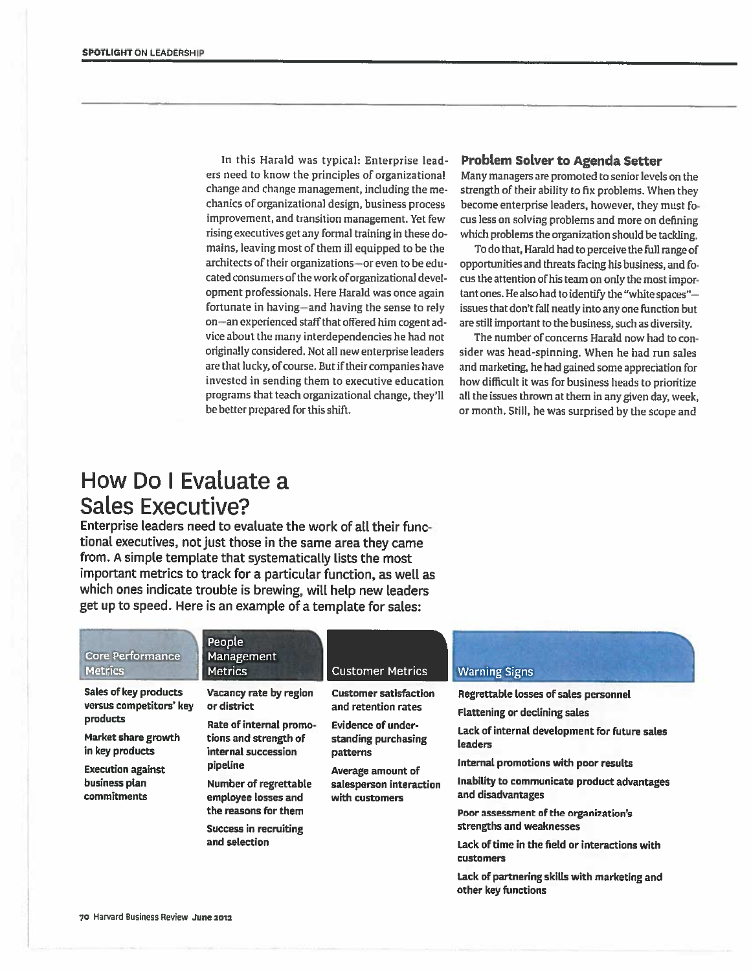In this Harald was typical: Enterprise lead ers need to know the principles of organizational change and change management, including the me chanics of organizational design, business process improvement, and transition management. Yet few rising executives get any formal training in these do mains, leaving most of them ill equipped to be the architects of iheir organizations—or even to be edu cated consumers of the work of organizational development professionals. Here Harald was once again fortunate in having—and having the sense to rely on—an experienced staffthat offered him cogent ad vice about the many interdependencies he had not originally considered. Not all new enterprise leaders are that lucky, of course. But if their companies have invested in sending them to executive education programs that teach organizational change, they'll be better prepared for this shift.

# Problem Solver to Agenda Setter

Many managers are promoted to senior levels on the strength of their ability to fix problems. When they become enterprise leaders, however, they must fo cus less on solving problems and more on defining which problems the organization should be tackling.

To do that, Harald had to perceive the full range of opportunities and threats facing his business, and fo cus the attention of his team on only the most impor tant ones. He also had to identify the "white spaces" issues that don't fall neatly into any one function but are still important to the business, such as diversity.

The number of concerns Harald now had to con sider was head-spinning. When he had run sales and marketing, he had gained some appreciation for how difficult it was for business heads to prioritize all the issues thrown at them in any <sup>g</sup>iven day, week, or month. Still, he was surprised by the scope and

# How Do I Evaluate a Sales Executive?

Enterprise leaders need to evaluate the work of all their func tional executives, not just those in the same area they came from. <sup>A</sup> simple template that systematically lists the most important metrics to track for <sup>a</sup> particular function, as well as which ones indicate trouble is brewing, will help new leaders get up to speed. Here is an example of <sup>a</sup> template for sales:

| Core Performance<br><b>Metrics</b>                                                                                                                                               | People<br>Management<br><b>Metrics</b>                                                                                                                                                                                                                       | <b>Customer Metrics</b>                                                                                                                                                               | <b>Warning Signs</b>                                                                                                                                                                                                                                                                                                                                                                                                                       |
|----------------------------------------------------------------------------------------------------------------------------------------------------------------------------------|--------------------------------------------------------------------------------------------------------------------------------------------------------------------------------------------------------------------------------------------------------------|---------------------------------------------------------------------------------------------------------------------------------------------------------------------------------------|--------------------------------------------------------------------------------------------------------------------------------------------------------------------------------------------------------------------------------------------------------------------------------------------------------------------------------------------------------------------------------------------------------------------------------------------|
| <b>Sales of key products</b><br>versus competitors' key<br>products<br><b>Market share growth</b><br>in key products<br><b>Execution against</b><br>business plan<br>commitments | Vacancy rate by region<br>or district<br>Rate of internal promo-<br>tions and strength of<br>internal succession<br>pipeline<br><b>Number of regrettable</b><br>employee losses and<br>the reasons for them<br><b>Success in recruiting</b><br>and selection | <b>Customer satisfaction</b><br>and retention rates<br><b>Evidence of under-</b><br>standing purchasing<br>patterns<br>Average amount of<br>salesperson interaction<br>with customers | Regrettable losses of sales personnel<br><b>Flattening or declining sales</b><br>Lack of internal development for future sales<br>leaders<br>Internal promotions with poor results<br>Inability to communicate product advantages<br>and disadvantages<br>Poor assessment of the organization's<br>strengths and weaknesses<br>Lack of time in the field or interactions with<br>customers<br>Lack of partnering skills with marketing and |

other key functions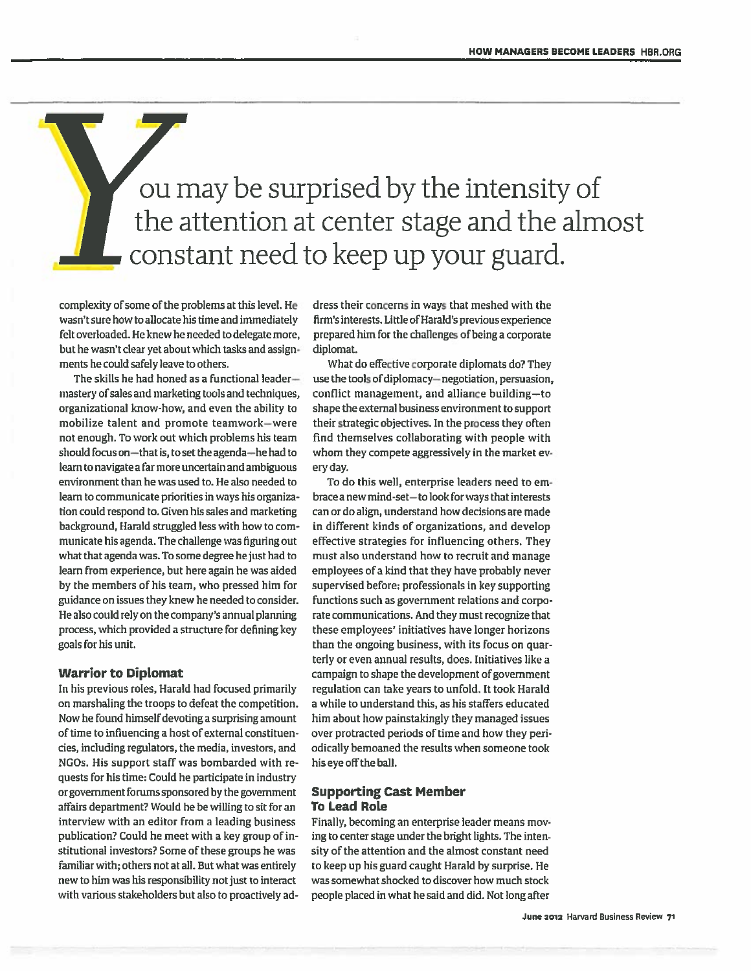# ou may be surprised by the intensity of the attention at center stage and the almost constant need to keep up your guard.

complexity of some of the problems at this level. He wasn't sure how to allocate his time and immediately felt overloaded. He knew he needed to delegate more, but he wasn't clear ye<sup>t</sup> about which tasks and assign ments he could safely leave to others,

The skills he had honed as <sup>a</sup> functional leader mastery of sales and marketing tools and techniques, organizational know-how, and even the ability to mobilize talent and promote teamwork—were not enough. To work out which problems his team should focus on—that is, to set the agenda—he had to leam to navigate <sup>a</sup> far more uncertain and ambiguous environment than he was used to. He also needed to learn to communicate priorities in ways his organiza tion could respond to. Given his sales and marketing background, Harald struggled less with how to com municate his agenda. The challenge was figuring out what that agenda was. To some degree he just had to learn from experience, but here again he was aided by the members of his team, who pressed him for guidance on issues they knew he needed to consider. He also could rely on the company's annual planning process, which provided <sup>a</sup> structure for defining key goals for his unit.

# Warrior to Diplomat

In his previous roles, Harald had focused primarily on marshaling the troops to defeat the competition. Now he found himself devoting <sup>a</sup> surprising amount of time to influencing <sup>a</sup> host of external constituen cies, including regulators, the media, investors, and NGOs. His suppor<sup>t</sup> staff was bombarded with re quests for his time: Could he participate in industry or governmen<sup>t</sup> forums sponsored by the governmen<sup>t</sup> affairs department? Would he be willing to sit for an interview with an editor from <sup>a</sup> leading business publication? Could he meet with <sup>a</sup> key group of in stitutional investors? Some of these groups he was familiar with; others not at all. But what was entirely new to him was his responsibility not just to interact with various stakeholders but also to proactively ad-

dress their concerns in ways that meshed with the finn's interests. Little of Harald's previous experience prepared him for the challenges of being <sup>a</sup> corporate diplomat.

What do effective corporate diplomats do? They use the tools ofdiplomacy—negotiation, persuasion, conflict management, and alliance building—to shape the extemal business environment to suppor<sup>t</sup> their strategic objectives. In the process they often find themselves collaborating with people with whom they compete aggressively in the market ev eryday.

To do this well, enterprise leaders need to em brace <sup>a</sup> new mind-set—to look for ways that interests can or do align, understand how decisions are made in different kinds of organizations, and develop effective strategies for influencing others. They must also understand how to recruit and manage employees of <sup>a</sup> kind that they have probably never supervised before; professionals in key supporting functions such as governmen<sup>t</sup> relations and corpo rate communications. And they must recognize that these employees' initiatives have longer horizons than the ongoing business, with its focus on quar terly or even annual results, does. Initiatives like a campaign to shape the development of governmen<sup>t</sup> regulation can take years to unfold. It took Harald <sup>a</sup> while to understand this, as his staffers educated him about how painstakingly they managed issues over protracted periods of time and how they peri odically bemoaned the results when someone took his eye off the ball.

# Supporting Cast Member To Lead Role

Finally, becoming an enterprise leader means mov ing to center stage under the bright lights. The inten sity of the attention and the almost constant need to keep up his guard caught Harald by surprise. He was somewhat shocked to discover how much stock people placed in what he said and did. Not long after